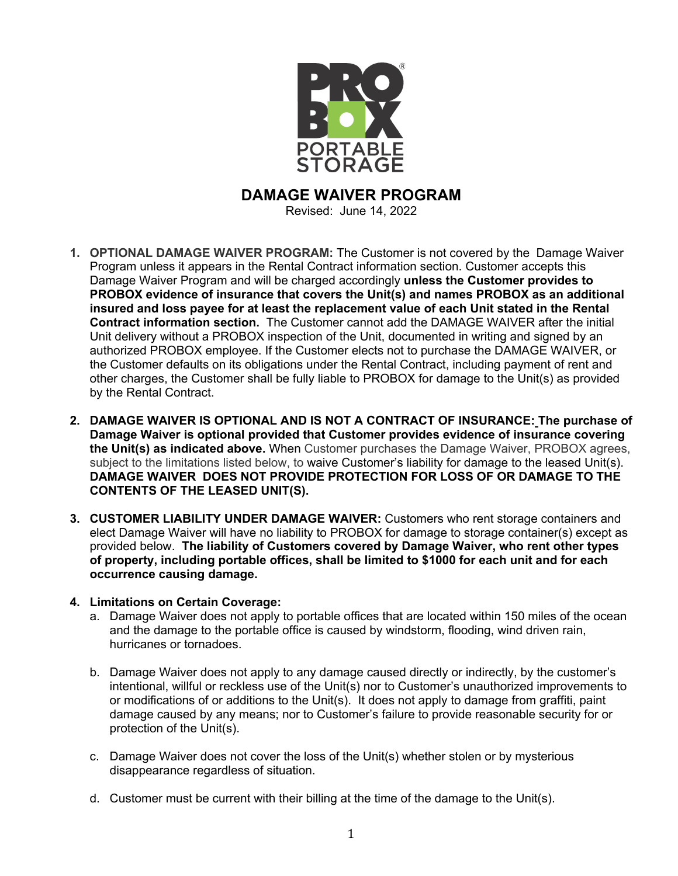

**DAMAGE WAIVER PROGRAM**

Revised: June 14, 2022

- **1. OPTIONAL DAMAGE WAIVER PROGRAM:** The Customer is not covered by the Damage Waiver Program unless it appears in the Rental Contract information section. Customer accepts this Damage Waiver Program and will be charged accordingly **unless the Customer provides to PROBOX evidence of insurance that covers the Unit(s) and names PROBOX as an additional insured and loss payee for at least the replacement value of each Unit stated in the Rental Contract information section.** The Customer cannot add the DAMAGE WAIVER after the initial Unit delivery without a PROBOX inspection of the Unit, documented in writing and signed by an authorized PROBOX employee. If the Customer elects not to purchase the DAMAGE WAIVER, or the Customer defaults on its obligations under the Rental Contract, including payment of rent and other charges, the Customer shall be fully liable to PROBOX for damage to the Unit(s) as provided by the Rental Contract.
- **2. DAMAGE WAIVER IS OPTIONAL AND IS NOT A CONTRACT OF INSURANCE: The purchase of Damage Waiver is optional provided that Customer provides evidence of insurance covering the Unit(s) as indicated above.** When Customer purchases the Damage Waiver, PROBOX agrees, subject to the limitations listed below, to waive Customer's liability for damage to the leased Unit(s). **DAMAGE WAIVER DOES NOT PROVIDE PROTECTION FOR LOSS OF OR DAMAGE TO THE CONTENTS OF THE LEASED UNIT(S).**
- **3. CUSTOMER LIABILITY UNDER DAMAGE WAIVER:** Customers who rent storage containers and elect Damage Waiver will have no liability to PROBOX for damage to storage container(s) except as provided below. **The liability of Customers covered by Damage Waiver, who rent other types of property, including portable offices, shall be limited to \$1000 for each unit and for each occurrence causing damage.**
- **4. Limitations on Certain Coverage:** 
	- a. Damage Waiver does not apply to portable offices that are located within 150 miles of the ocean and the damage to the portable office is caused by windstorm, flooding, wind driven rain, hurricanes or tornadoes.
	- b. Damage Waiver does not apply to any damage caused directly or indirectly, by the customer's intentional, willful or reckless use of the Unit(s) nor to Customer's unauthorized improvements to or modifications of or additions to the Unit(s). It does not apply to damage from graffiti, paint damage caused by any means; nor to Customer's failure to provide reasonable security for or protection of the Unit(s).
	- c. Damage Waiver does not cover the loss of the Unit(s) whether stolen or by mysterious disappearance regardless of situation.
	- d. Customer must be current with their billing at the time of the damage to the Unit(s).